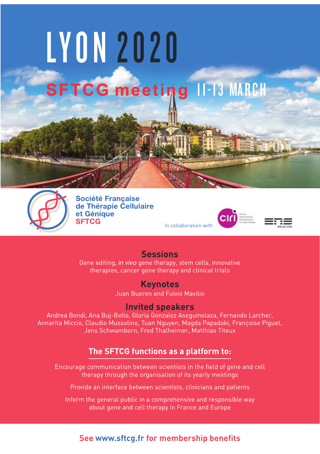



**Société Francaise** de Thérapie Cellulaire et Génique **SFTCG** 



### **Sessions**

Gene editing, *in vivo* gene therapy, stem cells, innovative therapies, cancer gene therapy and clinical trials

## **Keynotes**

Juan Bueren and Fulvio Mavilio

#### **Invited speakers**

Andrea Bondi, Ana Buj-Bello, Gloria Gonzalez Aseguinolaza, Fernando Larcher, Annarita Miccio, Claudio Mussolino, Tuan Nguyen, Magda Papadaki, Françoise Piguet, Jens Schwamborn, Fred Thalheimer, Matthias Titeux

## **The SFTCG functions as a platform to:**

Encourage communication between scientists in the field of gene and cell therapy through the organisation of its yearly meetings

Provide an interface between scientists, clinicians and patients

Inform the general public in a comprehensive and responsible way about gene and cell therapy in France and Europe

#### **See www.sftcg.fr for membership benefits**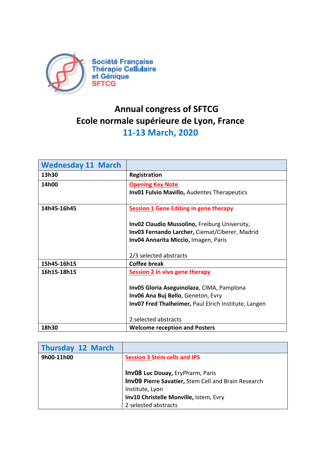

# **Annual congress of SFTCG** Ecole normale supérieure de Lyon, France **11-13 March, 2020**

| <b>Wednesday 11 March</b> |                                                      |
|---------------------------|------------------------------------------------------|
| 13h30                     | <b>Registration</b>                                  |
| 14h00                     | <b>Opening Key Note</b>                              |
|                           | Inv01 Fulvio Mavillo, Audentes Therapeutics          |
| 14h45-16h45               | <b>Session 1 Gene Editing in gene therapy</b>        |
|                           | Inv02 Claudio Mussolino, Freiburg University,        |
|                           | Inv03 Fernando Larcher, Ciemat/Ciberer, Madrid       |
|                           | Inv04 Annarita Miccio, Imagen, Paris                 |
|                           |                                                      |
|                           | 2/3 selected abstracts                               |
| 15h45-16h15               | <b>Coffee break</b>                                  |
| 16h15-18h15               | Session 2 In vivo gene therapy                       |
|                           |                                                      |
|                           | Inv05 Gloria Aseguinolaza, CIMA, Pamplona            |
|                           | Inv06 Ana Buj Bello, Geneton, Evry                   |
|                           | Inv07 Fred Thalheimer, Paul Elrich Institute, Langen |
|                           |                                                      |
|                           | 2 selected abstracts                                 |
| 18h30                     | <b>Welcome reception and Posters</b>                 |

| <b>Thursday 12 March</b> |                                                                                                                                                             |
|--------------------------|-------------------------------------------------------------------------------------------------------------------------------------------------------------|
| 9h00-11h00               | <b>Session 3 Stem cells and IPS</b>                                                                                                                         |
|                          | <b>Inv08 Luc Douay, EryPharm, Paris</b><br>Inv09 Pierre Savatier, Stem Cell and Brain Research<br>Institute, Lyon<br>Inv10 Christelle Monville, Istem, Evry |
|                          | 2 selected abstracts                                                                                                                                        |